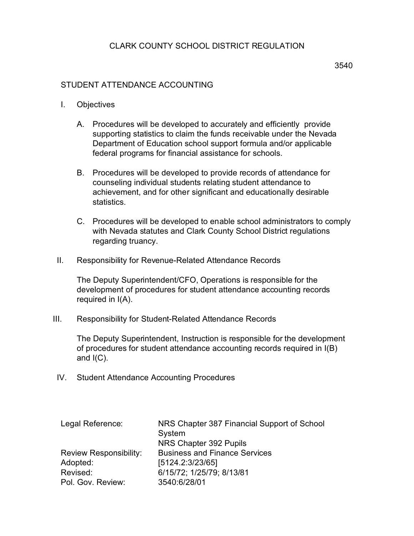## CLARK COUNTY SCHOOL DISTRICT REGULATION

- I. Objectives
	- A. Procedures will be developed to accurately and efficiently provide supporting statistics to claim the funds receivable under the Nevada Department of Education school support formula and/or applicable federal programs for financial assistance for schools.
	- B. Procedures will be developed to provide records of attendance for counseling individual students relating student attendance to achievement, and for other significant and educationally desirable statistics.
	- C. Procedures will be developed to enable school administrators to comply with Nevada statutes and Clark County School District regulations regarding truancy.
- II. Responsibility for Revenue-Related Attendance Records

The Deputy Superintendent/CFO, Operations is responsible for the development of procedures for student attendance accounting records required in I(A).

III. Responsibility for Student-Related Attendance Records

The Deputy Superintendent, Instruction is responsible for the development of procedures for student attendance accounting records required in I(B) and  $I(C)$ .

IV. Student Attendance Accounting Procedures

| Legal Reference:              | NRS Chapter 387 Financial Support of School<br>System |
|-------------------------------|-------------------------------------------------------|
|                               | NRS Chapter 392 Pupils                                |
| <b>Review Responsibility:</b> | <b>Business and Finance Services</b>                  |
| Adopted:                      | [5124.2:3/23/65]                                      |
| Revised:                      | 6/15/72; 1/25/79; 8/13/81                             |
| Pol. Gov. Review:             | 3540:6/28/01                                          |